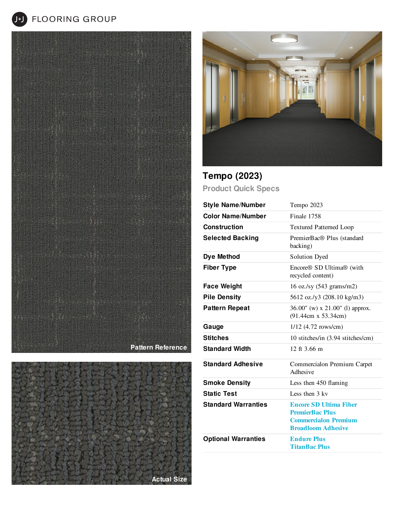**J+J** FLOORING GROUP







**Tempo (2023) Product Quick Specs**

| <b>Style Name/Number</b>   | Tempo 2023                                                                                                          |
|----------------------------|---------------------------------------------------------------------------------------------------------------------|
| <b>Color Name/Number</b>   | Finale 1758                                                                                                         |
| <b>Construction</b>        | <b>Textured Patterned Loop</b>                                                                                      |
| <b>Selected Backing</b>    | PremierBac® Plus (standard<br>backing)                                                                              |
| Dye Method                 | <b>Solution Dyed</b>                                                                                                |
| <b>Fiber Type</b>          | Encore <sup>®</sup> SD Ultima <sup>®</sup> (with<br>recycled content)                                               |
| <b>Face Weight</b>         | 16 oz./sy $(543 \text{ grams/m2})$                                                                                  |
| <b>Pile Density</b>        | 5612 oz./y3 (208.10 kg/m3)                                                                                          |
| <b>Pattern Repeat</b>      | 36.00" (w) x 21.00" (l) approx.<br>(91.44cm x 53.34cm)                                                              |
| Gauge                      | $1/12$ (4.72 rows/cm)                                                                                               |
| <b>Stitches</b>            | 10 stitches/in (3.94 stitches/cm)                                                                                   |
| <b>Standard Width</b>      | 12 ft $3.66$ m                                                                                                      |
| <b>Standard Adhesive</b>   | Commercialon Premium Carpet<br>Adhesive                                                                             |
| <b>Smoke Density</b>       | Less then 450 flaming                                                                                               |
| <b>Static Test</b>         | Less then 3 kv                                                                                                      |
| <b>Standard Warranties</b> | <b>Encore SD Ultima Fiber</b><br><b>PremierBac Plus</b><br><b>Commercialon Premium</b><br><b>Broadloom Adhesive</b> |
| <b>Optional Warranties</b> | <b>Endure Plus</b><br><b>TitanBac Plus</b>                                                                          |